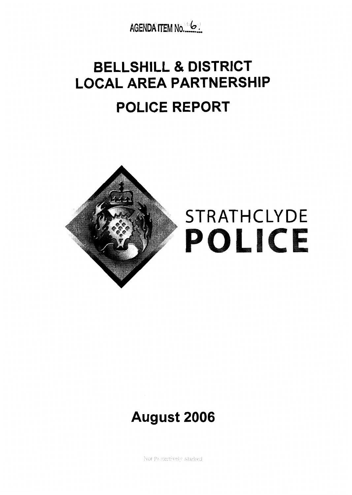

## **BELLSHILL** & **DISTRICT**  LOCAL AREA PARTNERSHIP **POLICE REPORT**



# STRATHCLYDE

### **August 2006**

Not Protectively Marked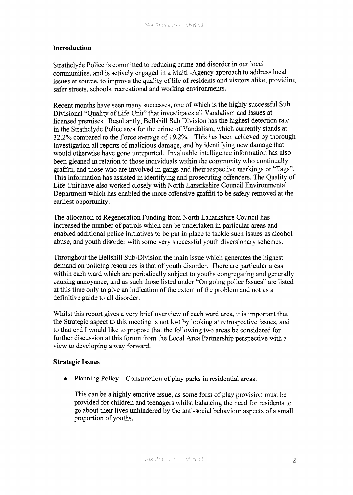#### **Introduction**

Strathclyde Police is committed to reducing crime and disorder in our local communities, and is actively engaged in a Multi -Agency approach to address local issues at source, to improve the quality of life of residents and visitors alike, providing safer streets, schools, recreational and working environments.

Recent months have seen many successes, one of which is the highly successful Sub Divisional "Quality of Life Unit" that investigates all Vandalism and issues at licensed premises, Resultantly, Bellshill Sub Division has the highest detection rate in the Strathclyde Police area for the crime of Vandalism, which currently stands at 32.2% compared to the Force average of 19.2%. This has been achieved by thorough investigation all reports of malicious damage, and by identifying new damage that would otherwise have gone unreported. Invaluable intelligence information has also been gleaned in relation to those individuals within the community who continually graffiti, and those who are involved in gangs and their respective markings or "Tags". This information has assisted in identifying and prosecuting offenders. The Quality of Life Unit have also worked closely with North Lanarkshire Council Environmental Department which has enabled the more offensive graffiti to be safely removed at the earliest opportunity.

The allocation of Regeneration Funding from North Lanarkshire Council has increased the number of patrols which can be undertaken in particular areas and enabled additional police initiatives to be put in place to tackle such issues as alcohol abuse, and youth disorder with some very successful youth diversionary schemes.

Throughout the Bellshill Sub-Division the main issue which generates the highest demand on policing resources is that of youth disorder. There are particular areas within each ward which are periodically subject to youths congregating and generally causing annoyance, and as such those listed under "On going police Issues" are listed at this time only to give an indication of the extent of the problem and not as a definitive guide to all disorder,

Whilst this report gives a very brief overview of each ward area, it is important that the Strategic aspect to this meeting is not lost by looking at retrospective issues, and to that end I would like to propose that the following two areas be considered for further discussion at this forum from the Local Area Partnership perspective with a view to developing a way forward.

#### **Strategic Issues**

• Planning Policy – Construction of play parks in residential areas.

This can be a highly emotive issue, as some form of play provision must be provided for children and teenagers whilst balancing the need for residents to go about their lives unhindered by the anti-social behaviour aspects of a small proportion of youths.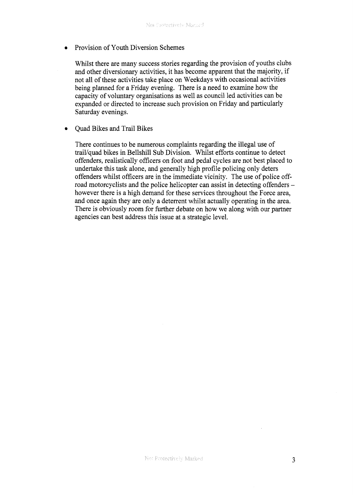Provision of Youth Diversion Schemes

Whilst there are many success stories regarding the provision of youths clubs and other diversionary activities, it has become apparent that the majority, if not all of these activities take place on Weekdays with occasional activities being planned for a Friday evening. There is a need to examine how the capacity of voluntary organisations as well as council led activities can be expanded or directed to increase such provision on Friday and particularly Saturday evenings.

Quad Bikes and Trail Bikes  $\bullet$ 

> There continues to be numerous complaints regarding the illegal use of trail/quad bikes in Bellshill Sub Division. Whilst efforts continue to detect offenders, realistically officers on foot and pedal cycles are not best placed to undertake this task alone, and generally high profile policing only deters offenders whilst officers are in the immediate vicinity. The use of police offroad motorcyclists and the police helicopter can assist in detecting offenders however there is a high demand for these services throughout the Force area, and once again they are only a deterrent whilst actually operating in the area. There is obviously room for further debate on how we along with our partner agencies can best address this issue at a strategic level.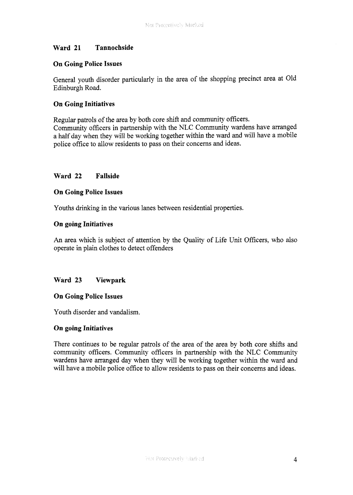#### **Ward 21 Tannochside**

#### **On Going Police Issues**

General youth disorder particularly in the area of the shopping precinct area at Old Edinburgh Road.

#### **On Going Initiatives**

Regular patrols of the area by both core shift and community officers. Community officers in partnership with the NLC Community wardens have arranged a half day when they will be working together within the ward and will have a mobile police office to allow residents to pass on their concerns and ideas.

#### **Ward 22 Fallside**

#### **On Going Police Issues**

Youths drinking in the various lanes between residential properties.

#### **On going Initiatives**

An area which is subject of attention by the Quality of Life Unit Officers, who also operate in plain clothes to detect offenders

#### **Ward 23 Viewpark**

#### **On Going Police Issues**

Youth disorder and vandalism.

#### **On going Initiatives**

There continues to be regular patrols of the area of the area by both core shifts and community officers. Community officers in partnership with the NLC Community wardens have arranged day when they will be working together within the ward and will have a mobile police office to allow residents to pass on their concerns and ideas.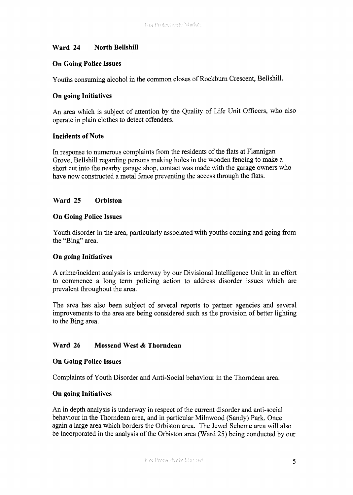#### **Ward 24 North Bellshill**

#### **On Going Police Issues**

Youths consuming alcohol in the common closes of Rockburn Crescent, Bellshill.

#### **On going Initiatives**

An area which is subject of attention by the Quality of Life Unit Officers, who also operate in plain clothes to detect offenders.

#### **Incidents of Note**

In response to numerous complaints from the residents of the flats at Flannigan Grove, Bellshill regarding persons making holes in the wooden fencing to make a short cut into the nearby garage shop, contact was made with the garage owners who have now constructed a metal fence preventing the access through the flats.

#### **Ward 25 Orbiston**

#### **On Going Police Issues**

Youth disorder in the area, particularly associated with youths coming and going from the "Bing" area.

#### **On going Initiatives**

A crime/incident analysis is underway by our Divisional Intelligence Unit in an effort to commence a long term policing action to address disorder issues which are prevalent throughout the area.

The area has also been subject of several reports to partner agencies and several improvements to the area are being considered such as the provision of better lighting to the Bing area.

#### **Ward 26 Mossend West** & **Thorndean**

#### **On Going Police Issues**

Complaints of Youth Disorder and Anti-Social behaviour in the Thorndean area.

#### **On going Initiatives**

An in depth analysis is underway in respect of the current disorder and anti-social behaviour in the Thorndean area, and in particular Milnwood (Sandy) Park. Once again a large area which borders the Orbiston area. The Jewel Scheme area will also be incorporated in the analysis of the Orbiston area (Ward *25)* being conducted by our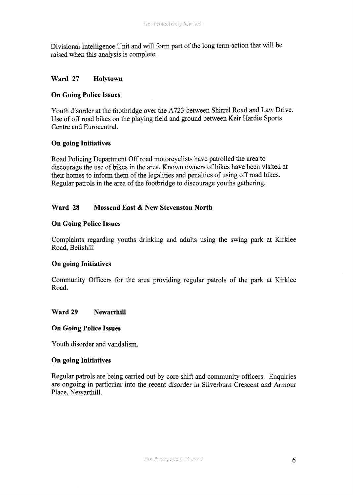Divisional Intelligence Unit and will form part of the long term action that will be raised when this analysis is complete.

#### **Ward 27 Holytown**

#### **On Going Police Issues**

Youth disorder at the footbridge over the **A723** between Shirrel Road and Law Drive. Use of off road bikes on the playing field and ground between Keir Hardie Sports Centre and Eurocentral.

#### **On going Initiatives**

Road Policing Department Off road motorcyclists have patrolled the area to discourage the use of bikes in the area. Known owners of bikes have been visited at their homes to inform them of the legalities and penalties of using off road bikes. Regular patrols in the area of the footbridge to discourage youths gathering.

#### **Ward 28 Mossend East** & **New Stevenston North**

#### **On Going Police Issues**

Complaints regarding youths drinking and adults using the swing park at Kirklee Road, Bellshill

#### **On going Initiatives**

Community Officers for the area providing regular patrols of the park at Kirklee Road.

#### Ward 29 Newarthill

#### **On Going Police Issues**

Youth disorder and vandalism.

#### **On going Initiatives**

Regular patrols are being carried out by core shift and community officers. Enquiries are ongoing in particular into the recent disorder in Silverburn Crescent and Armour Place, Newarthill.